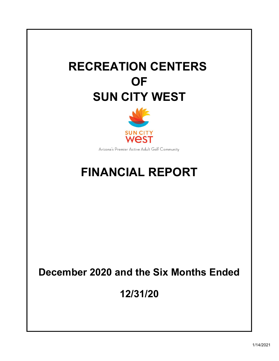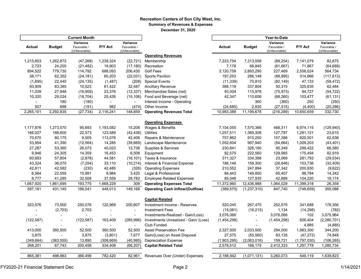#### Recreation Centers of Sun City West, Inc. Summary of Revenues & Expenses December 31, 2020

|                |                          | <b>Current Month</b> |               |                |                                        |              |                          |               |             |               |  |
|----------------|--------------------------|----------------------|---------------|----------------|----------------------------------------|--------------|--------------------------|---------------|-------------|---------------|--|
|                |                          | Variance             |               | Variance       |                                        |              |                          | Variance      |             | Variance      |  |
| Actual         | <b>Budget</b>            | Favorable /          | P/Y Act       | Favorable /    |                                        | Actual       | <b>Budget</b>            | Favorable /   | P/Y Act     | Favorable /   |  |
|                |                          | (Unfavorable)        |               | (Unfavorable)  |                                        |              |                          | (Unfavorable) |             | (Unfavorable) |  |
|                |                          |                      |               |                | <b>Operating Revenues</b>              |              |                          |               |             |               |  |
| 1,215,603      | 1,262,872                | (47, 268)            | 1,238,324     | (22, 721)      | Membership                             | 7,223,754    | 7,313,008                | (89, 254)     | 7,141,079   | 82,675        |  |
| 2,723          | 24,205                   | (21, 482)            | 19,903        | (17, 180)      | Recreation                             | 7,178        | 68,845                   | (61, 667)     | 71,867      | (64, 689)     |  |
| 894,522        | 779,730                  | 114,792              | 688,093       | 206,430        | <b>Golf Fees</b>                       | 3,120,759    | 2,893,290                | 227,469       | 2,556,024   | 564,734       |  |
| 38,171         | 62,352                   | (24, 181)            | 60,203        | (22, 031)      | <b>Sports Pavilion</b>                 | 197,253      | 286,148                  | (88, 895)     | 314,866     | (117, 613)    |  |
| (1,695)        | 22,440                   | (24, 135)            | (1, 487)      | (208)          | <b>Special Events</b>                  | (11, 339)    | 70,810                   | (82, 149)     | 47,133      | (58, 472)     |  |
| 93,909         | 83,385                   | 10,523               | 61,422        | 32,487         | Ancillary Revenue                      | 388,119      | 337,804                  | 50,315        | 325,635     | 62,484        |  |
| 11,039         | 27,948                   | (16,909)             | 23,376        | (12, 337)      | Merchandise Sales (net)                | 40,004       | 115,978                  | (75, 973)     | 94,727      | (54, 722)     |  |
| 10,320         | 29,024                   | (18, 704)            | 25,426        | (15, 106)      | Food and Beverage (net)                | 42,347       | 110,606                  | (68, 260)     | 103,477     | (61, 131)     |  |
| $\blacksquare$ | 180                      | (180)                | $\frac{1}{2}$ |                | Interest Income - Operating            | $\mathbf{r}$ | 360                      | (360)         | 250         | (250)         |  |
| 507            | 698                      | (191)                | 982           | (474)          | Other Income                           | (24, 685)    | 2,830                    | (27, 515)     | (4,400)     | (20, 286)     |  |
| 2,265,101      | 2,292,835                | (27, 734)            | 2,116,241     | 148,859        | <b>Operating Revenues Total</b>        | 10,983,389   | 11,199,678               | (216, 289)    | 10,650,659  | 332,730       |  |
|                |                          |                      |               |                | <b>Operating Expenses</b>              |              |                          |               |             |               |  |
| 1,177,876      | 1,273,570                | 95,693               | 1,193,082     | 15,206         | Wages & Benefits                       | 7,104,055    | 7,570,366                | 466,311       | 6,974,115   | (129, 940)    |  |
| 166,027        | 188,600                  | 22,573               | 123,589       | (42, 438)      | <b>Utilities</b>                       | 1,257,511    | 1,385,308                | 127,797       | 1,281,121   | 23,610        |  |
| 70,670         | 80,175                   | 9,505                | 113,076       | 42,406         | Repairs & Maintenance                  | 757,862      | 915,250                  | 157,388       | 820,501     | 62,638        |  |
| 53,954         | 41,390                   | (12, 564)            | 14,285        | (39, 669)      | Landscape Maintenance                  | 1,052,604    | 997,940                  | (54, 664)     | 1,009,203   | (43, 401)     |  |
| 27,287         | 53,360                   | 26,073               | 40,023        | 12,736         | Supplies & Services                    | 230,841      | 326,190                  | 95,349        | 299,422     | 68,580        |  |
| 9,946          | 24,305                   | 14,359               | 16,453        | 6,508          | Equipment                              | 92,575       | 222,560                  | 129,985       | 175,494     | 82,919        |  |
| 60,683         | 57,804                   | (2,878)              | 44,581        | (16, 101)      | Taxes & Insurance                      | 311,327      | 334,396                  | 23,069        | 281,793     | (29, 534)     |  |
| 43,324         | 36,070                   | (7, 254)             | 33,110        | (10, 214)      | Interest & Financial Expense           | 186,146      | 159,300                  | (26, 846)     | 153,736     | (32, 409)     |  |
| 42,811         | 42,582                   | (230)                | 42,485        | (326)          | <b>Operating Expenses</b>              | 210,552      | 247,894                  | 37,342        | 200,930     | (9,622)       |  |
| 6,564          | 22,555                   | 15,991               | 9,984         | 3,420          | Legal & Professional                   | 84,443       | 149,850                  | 65,407        | 98,784      | 14,342        |  |
| 8,777          | 41,285                   | 32,508               | 37,559        | 28,782         | <b>Employee Related Expenses</b>       | 85,046       | 127,935                  | 42,889        | 104,220     | 19,174        |  |
| 1,667,920      | 1,861,695                | 193,775              | 1,668,229     | 309            | <b>Operating Expenses Total</b>        | 11,372,960   | 12,436,988               | 1,064,029     | 11,399,318  | 26,359        |  |
| 597,181        | 431,140                  | 166,041              | 448,013       | 149,168        | <b>Operating Cash Inflow/(Outflow)</b> | (389, 570)   | (1, 237, 310)            | 847,740       | (748, 659)  | 359,088       |  |
|                |                          |                      |               |                |                                        |              |                          |               |             |               |  |
|                |                          |                      |               |                | <b>Capital Related</b>                 |              |                          |               |             |               |  |
| 323,576        | 73,500                   | 250,076              | 122,969       | 200,607        | Investment Income - Reserves           | 520,045      | 267,470                  | 252,575       | 341,688     | 178,356       |  |
|                | (2,703)                  | 2,703                |               | $\overline{a}$ | <b>Investment Fees</b>                 | (15,081)     | (16, 215)                | 1,134         | (14, 298)   | (782)         |  |
|                |                          |                      |               | $\overline{a}$ | Investments-Realized - Gain/Loss)      | 3,076,066    | $\overline{\phantom{a}}$ | 3,076,066     | 102         | 3,075,964     |  |
| (122, 587)     | $\overline{\phantom{a}}$ | (122, 587)           | 163,409       | (285,996)      | Investments Unrealized - Gain/ (Loss)  | (1,454,298)  | $\blacksquare$           | (1,454,298)   | 826,404     | (2, 280, 701) |  |
|                |                          |                      |               |                | <b>Club Funded</b>                     |              |                          |               | 4,885       | (4,885)       |  |
| 413,000        | 360,500                  | 52,500               | 360,500       | 52,500         | <b>Asset Preservation Fee</b>          | 2,327,500    | 2,033,500                | 294,000       | 1,983,300   | 344,200       |  |
| 3,875          |                          | 3,875                | (3,801)       | 7,677          | Gain/(Loss) on Asset Disposal          | 27,575       | (55, 560)                | 83,135        | (47, 272)   | 74,848        |  |
| (349, 664)     | (363, 555)               | 13,890               | (308, 669)    | (40, 995)      | <b>Depreciation Expense</b>            | (1,903,295)  | (2,063,016)              | 159,721       | (1,797,030) | (106, 265)    |  |
| 268,201        | 67,743                   | 200,458              | 334,408       | (66, 207)      | <b>Capital Related Total</b>           | 2,578,512    | 166,179                  | 2,412,333     | 1,297,778   | 1,280,734     |  |
|                |                          |                      |               |                |                                        |              |                          |               |             |               |  |
| 865,381        | 498,883                  | 366,499              | 782,420       | 82,961         | Revenues Over (Under) Expenses         | 2,188,942    | (1,071,131)              | 3,260,073     | 549,119     | 1,639,823     |  |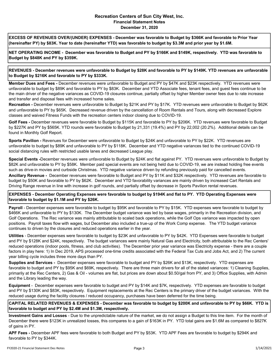#### Recreation Centers of Sun City West, Inc. Financial Statement Notes December 31, 2020

EXCESS OF REVENUES OVER/(UNDER) EXPENSES - December was favorable to Budget by \$366K and favorable to Prior Year (hereinafter PY) by \$83K. Year to date (hereinafter YTD) was favorable to budget by \$3.3M and prior year by \$1.6M.

NET OPERATING INCOME - December was favorable to Budget and PY by \$166K and \$149K, respectively. YTD was favorable to Budget by \$848K and PY by \$359K.

REVENUES - December revenues were unfavorable to Budget by \$28K and favorable to PY by \$149K. YTD revenues are unfavorable to Budget by \$216K and favorable to PY by \$333K.

Member Dues and Fees - December revenues were unfavorable to Budget and PY by \$47K and \$23K respectively. YTD revenues were unfavorable to budget by \$89K and favorable to PY by \$83K. December and YTD Associate fees, tenant fees, and guest fees continue to be the main driver of the negative variances as COVID-19 closures continue, partially offset by higher Member owner fees due to rate increase and transfer and disposal fees with increased home sales.

Recreation - December revenues were unfavorable to Budget by \$21K and PY by \$17K. YTD revenues were unfavorable to Budget by \$62K and unfavorable to PY by \$65K. Decreased revenue driven by the cancellation of Room Rentals and Tours, along with decreased Explore classes and waived Fitness Funds with the recreation centers indoor closing due to COVID-19.

Golf Fees - December revenues were favorable to Budget by \$115K and favorable to PY by \$206K. YTD revenues were favorable to Budget by \$227K and PY by \$565K. YTD rounds were favorable to Budget by 21,331 (19.4%) and PY by 22,002 (20.2%). Additional details can be found in Monthly Golf Report.

Sports Pavilion - Revenues for December were unfavorable to Budget by \$24K and unfavorable to PY by \$22K. YTD revenues are unfavorable to budget by \$89K and unfavorable to PY by \$118K. December and YTD negative variances tied to the continued COVID-19 social distancing rules with restricted usable lanes and decreased League play.

Special Events -December revenues were unfavorable to Budget by \$24K and flat against PY. YTD revenues were unfavorable to Budget by \$82K and unfavorable to PY by \$58K. Member paid special events are not being held due to COVID-19, we are instead holding free events such as drive-in movies and curbside Christmas. YTD negative variance driven by refunding previously paid for cancelled events.

Ancillary Revenue - December revenues were favorable to Budget and PY by \$11K and \$32K respectively. YTD revenues are favorable to budget by \$50K and favorable to PY by \$62K. December and YTD favorability variances are mainly driven by increased Cart Rentals and Driving Range revenue in line with increase in golf rounds, and partially offset by decrease in Sports Pavilion rental revenues.

EXPENSES - December Operating Expenses were favorable to budget by \$194K and flat to PY. YTD Operating Expenses were favorable to budget by \$1.1M and PY by \$26K.

Payroll - December expenses were favorable to budget by \$95K and favorable to PY by \$15K. YTD expenses were favorable to budget by \$466K and unfavorable to PY by \$130K. The December budget variance was led by base wages, primarily in the Recreation division, and Golf Operations. The Rec variance was mainly attributable to scaled back operations, while the Golf Ops variance was impacted by open positions. Payroll taxes flow with wages, but December also included a true-up of the Work Comp expense. The YTD budget variance continues to driven by the closures and reduced operations earlier in the year.

Utilities - December expenses were favorable to budget by \$23K and unfavorable to PY by \$42K. YTD Expenses were favorable to budget and PY by \$128K and \$24K, respectively. The budget variances were mainly Natural Gas and Electricity, both attributable to the Rec Centers' reduced operations (indoor pools, fitness, and club activities). The December prior year variance was Electricity expense - there are a couple factors in play here: 1) In Dec 2019, APS processed one-time credits associated with the Federal Tax Cuts and Jobs Act, and 2) The current year billing cycle includes three more days than PY.

Supplies and Services - December expenses were favorable to budget and PY by \$26K and \$13K, respectively. YTD expenses are favorable to budget and PY by \$95K and \$69K, respectively. There are three main drivers for all of the stated variances: 1) Cleaning Supplies, primarily at the Rec Centers, 2) Gas & Oil - volumes are flat, but prices are down about \$0.50/gal from PY, and 3) Office Supplies, with Admin and the Library leading the way.

Equipment - December expenses were favorable to budget and PY by \$14K and \$7K, respectively. YTD expenses are favorable to budget and PY by \$130K and \$83K, respectively. Equipment replacements at the Rec Centers is the primary driver of the budget variances. With the reduced usage during the facility closures / reduced occupancy, purchases have been deferred for the time being.

CAPITAL RELATED REVENUES & EXPENSES - December was favorable to budget by \$200K and unfavorable to PY by \$66K. YTD is favorable to budget and PY by \$2.4M and \$1.3M, respectively.

Investment Gains and Losses - Due to the unpredictable nature of the market, we do not assign a Budget to this line item. For the month of December there were \$123K in unrealized losses, this compares to a gain of \$163K in PY. YTD total gains are \$1.6M as compared to \$827K of gains in PY.

APF Fees - December APF fees were favorable to both Budget and PY by \$53K. YTD APF Fees are favorable to budget by \$294K and favorable to PY by \$344K.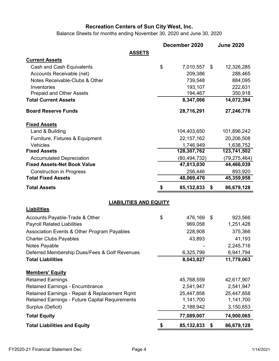Balance Sheets for months ending November 30, 2020 and June 30, 2020

|                                                                       |                               | December 2020         | <b>June 2020</b>      |
|-----------------------------------------------------------------------|-------------------------------|-----------------------|-----------------------|
|                                                                       | <b>ASSETS</b>                 |                       |                       |
| <b>Current Assets</b>                                                 |                               |                       |                       |
| Cash and Cash Equivalents                                             |                               | \$<br>7,010,557       | \$<br>12,326,285      |
| Accounts Receivable (net)                                             |                               | 209,386               | 288,465               |
| Notes Receivable-Clubs & Other                                        |                               | 739,548               | 884,095               |
| Inventories                                                           |                               | 193,107               | 222,631               |
| <b>Prepaid and Other Assets</b>                                       |                               | 194,467               | 350,918               |
| <b>Total Current Assets</b>                                           |                               | 8,347,066             | 14,072,394            |
| <b>Board Reserve Funds</b>                                            |                               | 28,716,291            | 27,246,776            |
| <b>Fixed Assets</b>                                                   |                               |                       |                       |
| Land & Building                                                       |                               | 104,403,650           | 101,896,242           |
| Furniture, Fixtures & Equipment                                       |                               | 22, 157, 162          | 20,206,508            |
| Vehicles                                                              |                               | 1,746,949             | 1,638,752             |
| <b>Fixed Assets</b>                                                   |                               | 128,307,762           | 123,741,502           |
| <b>Accumulated Depreciation</b><br><b>Fixed Assets-Net Book Value</b> |                               | (80, 494, 732)        | (79,275,464)          |
|                                                                       |                               | 47,813,030            | 44,466,039            |
| <b>Construction in Progress</b><br><b>Total Fixed Assets</b>          |                               | 256,446<br>48,069,476 | 893,920<br>45,359,958 |
|                                                                       |                               |                       |                       |
| <b>Total Assets</b>                                                   |                               | 85, 132, 833          | \$<br>86,679,128      |
|                                                                       | <b>LIABILITIES AND EQUITY</b> |                       |                       |
| <b>Liabilities</b>                                                    |                               |                       |                       |
| Accounts Payable-Trade & Other                                        |                               | \$<br>476,169         | \$<br>923,566         |
| <b>Payroll Related Liabilities</b>                                    |                               | 969,058               | 1,251,428             |
| Association Events & Other Program Payables                           |                               | 228,908               | 375,366               |
| <b>Charter Clubs Payables</b>                                         |                               | 43,893                | 41,193                |
| Notes Payable                                                         |                               |                       | 2,245,716             |
| Deferred Membership Dues/Fees & Golf Revenues                         |                               | 6,325,799             | 6,941,794             |
| <b>Total Liabilities</b>                                              |                               | 8,043,827             | 11,779,063            |
| <b>Members' Equity</b>                                                |                               |                       |                       |
| <b>Retained Earnings</b>                                              |                               | 45,768,559            | 42,617,907            |
| <b>Retained Earnings - Encumbrance</b>                                |                               | 2,541,947             | 2,541,947             |
| Retained Earnings - Repair & Replacement Rqmt                         |                               | 25,447,858            | 25,447,858            |
| <b>Retained Earnings - Future Capital Requirements</b>                |                               | 1,141,700             | 1,141,700             |
| Surplus (Deficit)                                                     |                               | 2,188,942             | 3,150,653             |
| <b>Total Equity</b>                                                   |                               | 77,089,007            | 74,900,065            |
| <b>Total Liabilities and Equity</b>                                   |                               | \$<br>85,132,833      | \$<br>86,679,128      |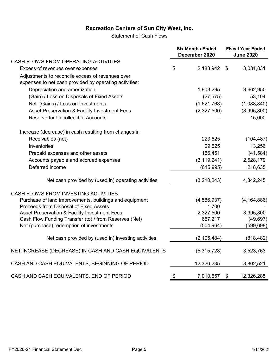Statement of Cash Flows

|                                                                                                            | <b>Six Months Ended</b><br>December 2020 | <b>Fiscal Year Ended</b><br><b>June 2020</b> |               |  |
|------------------------------------------------------------------------------------------------------------|------------------------------------------|----------------------------------------------|---------------|--|
| CASH FLOWS FROM OPERATING ACTIVITIES                                                                       |                                          |                                              |               |  |
| Excess of revenues over expenses                                                                           | \$<br>2,188,942 \$                       |                                              | 3,081,831     |  |
| Adjustments to reconcile excess of revenues over<br>expenses to net cash provided by operating activities: |                                          |                                              |               |  |
| Depreciation and amortization                                                                              | 1,903,295                                |                                              | 3,662,950     |  |
| (Gain) / Loss on Disposals of Fixed Assets                                                                 | (27, 575)                                |                                              | 53,104        |  |
| Net (Gains) / Loss on Investments                                                                          | (1,621,768)                              |                                              | (1,088,840)   |  |
| Asset Preservation & Facility Investment Fees                                                              | (2,327,500)                              |                                              | (3,995,800)   |  |
| <b>Reserve for Uncollectible Accounts</b>                                                                  |                                          |                                              | 15,000        |  |
| Increase (decrease) in cash resulting from changes in                                                      |                                          |                                              |               |  |
| Receivables (net)                                                                                          | 223,625                                  |                                              | (104, 487)    |  |
| Inventories                                                                                                | 29,525                                   |                                              | 13,256        |  |
| Prepaid expenses and other assets                                                                          | 156,451                                  |                                              | (41, 584)     |  |
| Accounts payable and accrued expenses                                                                      | (3, 119, 241)                            |                                              | 2,528,179     |  |
| Deferred income                                                                                            | (615, 995)                               |                                              | 218,635       |  |
| Net cash provided by (used in) operating activities                                                        | (3,210,243)                              |                                              | 4,342,245     |  |
| CASH FLOWS FROM INVESTING ACTIVITIES                                                                       |                                          |                                              |               |  |
| Purchase of land improvements, buildings and equipment                                                     | (4, 586, 937)                            |                                              | (4, 164, 886) |  |
| Proceeds from Disposal of Fixed Assets                                                                     | 1,700                                    |                                              |               |  |
| Asset Preservation & Facility Investment Fees                                                              | 2,327,500                                |                                              | 3,995,800     |  |
| Cash Flow Funding Transfer (to) / from Reserves (Net)                                                      | 657,217                                  |                                              | (49, 697)     |  |
| Net (purchase) redemption of investments                                                                   | (504, 964)                               |                                              | (599, 698)    |  |
| Net cash provided by (used in) investing activities                                                        | (2, 105, 484)                            |                                              | (818, 482)    |  |
| NET INCREASE (DECREASE) IN CASH AND CASH EQUIVALENTS                                                       | (5,315,728)                              |                                              | 3,523,763     |  |
| CASH AND CASH EQUIVALENTS, BEGINNING OF PERIOD                                                             | 12,326,285                               |                                              | 8,802,521     |  |
| CASH AND CASH EQUIVALENTS, END OF PERIOD                                                                   | \$<br>7,010,557                          | \$                                           | 12,326,285    |  |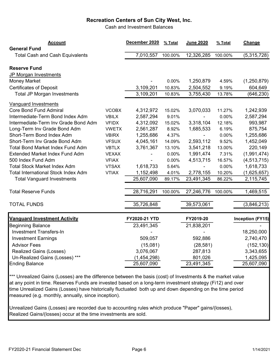Cash and Investment Balances

| <b>Account</b>                                                |              | December 2020 | % Total | <b>June 2020</b> | % Total | Change                  |
|---------------------------------------------------------------|--------------|---------------|---------|------------------|---------|-------------------------|
| <b>General Fund</b><br><b>Total Cash and Cash Equivalents</b> |              | 7,010,557     | 100.00% | 12,326,285       | 100.00% | (5,315,728)             |
|                                                               |              |               |         |                  |         |                         |
| <b>Reserve Fund</b>                                           |              |               |         |                  |         |                         |
| JP Morgan Investments                                         |              |               |         |                  |         |                         |
| <b>Money Market</b>                                           |              |               | 0.00%   | 1,250,879        | 4.59%   | (1,250,879)             |
| <b>Certificates of Deposit</b>                                |              | 3,109,201     | 10.83%  | 2,504,552        | 9.19%   | 604,649                 |
| <b>Total JP Morgan Investments</b>                            |              | 3,109,201     | 10.83%  | 3,755,430        | 13.78%  | (646, 230)              |
| <b>Vanguard Investments</b>                                   |              |               |         |                  |         |                         |
| <b>Core Bond Fund Admiral</b>                                 | <b>VCOBX</b> | 4,312,972     | 15.02%  | 3,070,033        | 11.27%  | 1,242,939               |
| Intermediate-Term Bond Index Adm                              | <b>VBILX</b> | 2,587,294     | 9.01%   |                  | 0.00%   | 2,587,294               |
| Intermediate-Term Inv Grade Bond Adm                          | <b>VFIDX</b> | 4,312,092     | 15.02%  | 3,318,104        | 12.18%  | 993,987                 |
| Long-Term Inv Grade Bond Adm                                  | <b>VWETX</b> | 2,561,287     | 8.92%   | 1,685,533        | 6.19%   | 875,754                 |
| Short-Term Bond Index Adm                                     | <b>VBIRX</b> | 1,255,686     | 4.37%   |                  | 0.00%   | 1,255,686               |
| Short-Term Inv Grade Bond Adm                                 | <b>VFSUX</b> | 4,045,161     | 14.09%  | 2,593,112        | 9.52%   | 1,452,049               |
| <b>Total Bond Market Index Fund Adm</b>                       | <b>VBTLX</b> | 3,761,367     | 13.10%  | 3,541,218        | 13.00%  | 220,149                 |
| <b>Extended Market Index Fund Adm</b>                         | <b>VEXAX</b> |               | 0.00%   | 1,991,474        | 7.31%   | (1,991,474)             |
| 500 Index Fund Adm                                            | <b>VFIAX</b> |               | 0.00%   | 4,513,715        | 16.57%  | (4, 513, 715)           |
| <b>Total Stock Market Index Adm</b>                           | <b>VTSAX</b> | 1,618,733     | 5.64%   |                  | 0.00%   | 1,618,733               |
| <b>Total International Stock Index Adm</b>                    | <b>VTIAX</b> | 1,152,498     | 4.01%   | 2,778,155        | 10.20%  | (1,625,657)             |
| <b>Total Vanguard Investments</b>                             |              | 25,607,090    | 89.17%  | 23,491,345       | 86.22%  | 2,115,745               |
| <b>Total Reserve Funds</b>                                    |              | 28,716,291    | 100.00% | 27,246,776       | 100.00% | 1,469,515               |
|                                                               |              |               |         |                  |         |                         |
| <b>TOTAL FUNDS</b>                                            |              | 35,726,848    |         | 39,573,061       |         | (3,846,213)             |
| <b>Vanguard Investment Activity</b>                           |              | FY2020-21 YTD |         | FY2019-20        |         | <b>Inception (FY15)</b> |
| <b>Beginning Balance</b>                                      |              | 23,491,345    |         | 21,838,201       |         |                         |
| <b>Investment Transfers-In</b>                                |              |               |         |                  |         | 18,250,000              |
| <b>Investment Earnings</b>                                    |              | 509,057       |         | 592,886          |         | 2,740,470               |
| <b>Advisor Fees</b>                                           |              | (15,081)      |         | (28, 581)        |         | (152, 130)              |
| <b>Realized Gains (Losses)</b>                                |              | 3,076,067     |         | 287,813          |         | 3,343,655               |
| Un-Realized Gains (Losses) ***                                |              | (1,454,298)   |         | 801,026          |         | 1,425,095               |
| <b>Ending Balance</b>                                         |              | 25,607,090    |         | 23,491,345       |         | 25,607,090              |
|                                                               |              |               |         |                  |         |                         |

\*\*\* Unrealized Gains (Losses) are the difference between the basis (cost) of Investments & the market value at any point in time. Reserves Funds are invested based on a long-term investment strategy (Fi12) and over time Unrealized Gains (Losses) have historically fluctuated both up and down depending on the time period measured (e.g. monthly, annually, since inception).

Unrealized Gains (Losses) are recorded due to accounting rules which produce "Paper" gains/(losses), Realized Gains/(losses) occur at the time investments are sold.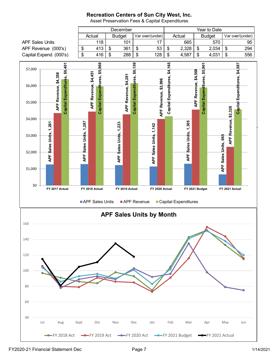

Asset Preservation Fees & Capital Expenditures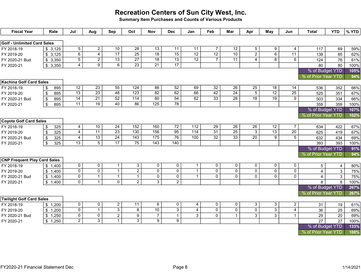Summary Item Purchases and Counts of Various Products

| <b>Fiscal Year</b>                  | Rate                             | Jul                 | Aug                 | Sep                   | Oct                                | <b>Nov</b>                         | <b>Dec</b>      | Jan                   | Feb                               | Mar             | Apr                              | May             | Jun             | <b>Total</b>                           | <b>YTD</b>      | $%$ YTD |
|-------------------------------------|----------------------------------|---------------------|---------------------|-----------------------|------------------------------------|------------------------------------|-----------------|-----------------------|-----------------------------------|-----------------|----------------------------------|-----------------|-----------------|----------------------------------------|-----------------|---------|
|                                     |                                  |                     |                     |                       |                                    |                                    |                 |                       |                                   |                 |                                  |                 |                 |                                        |                 |         |
| <b>Golf - Unlimited Card Sales</b>  |                                  |                     |                     |                       |                                    |                                    |                 |                       |                                   |                 |                                  |                 |                 |                                        |                 |         |
| FY 2018-19                          | \$3,125                          | 5 <sup>7</sup><br>6 | $\overline{2}$      | 10<br>$\overline{17}$ | $\overline{28}$<br>$\overline{25}$ | $\overline{13}$<br>$\overline{18}$ | 11<br>15        | 11<br>$\overline{12}$ | $\overline{7}$<br>$\overline{12}$ | 12<br>10        | $\overline{5}$<br>$\overline{2}$ | 9               | 4               | 117                                    | 69              | 59%     |
| FY 2019-20                          | \$3,125                          | $\overline{5}$      | $\overline{4}$      | 13                    | $\overline{27}$                    | $\overline{18}$                    | $\overline{13}$ | $\overline{12}$       | $\overline{7}$                    | 11              | 4                                | 6<br>8          | 11<br>6         | 138                                    | 85              | 62%     |
| FY 2020-21 Bud                      | \$3,350                          | $\overline{4}$      | $\overline{2}$<br>9 | 6                     | $\overline{23}$                    | $\overline{21}$                    | $\overline{17}$ |                       |                                   |                 |                                  |                 |                 | 124                                    | 76              | 61%     |
| FY 2020-21                          | \$3,350                          |                     |                     |                       |                                    |                                    |                 |                       |                                   |                 |                                  |                 |                 | 80                                     | 80              | 100%    |
|                                     |                                  |                     |                     |                       |                                    |                                    |                 |                       |                                   |                 |                                  |                 |                 | % of Budget YTD<br>% of Prior Year YTD |                 | 105%    |
| <b>Kachina Golf Card Sales</b>      |                                  |                     |                     |                       |                                    |                                    |                 |                       |                                   |                 |                                  |                 |                 |                                        |                 | 94%     |
| FY 2018-19                          | 895<br>\$                        | $\overline{12}$     | $\overline{23}$     | 55                    | 124                                | 86                                 | 52              | 69                    | 32                                | $\overline{26}$ | $\overline{25}$                  | 18              | 14              | 536                                    | 352             | 66%     |
| FY 2019-20                          | 895<br>\$                        | $\overline{13}$     | $\overline{23}$     | 48                    | 123                                | 82                                 | 62              | 66                    | $\overline{42}$                   | $\overline{24}$ | $\overline{5}$                   | $\overline{12}$ | $\overline{25}$ | 525                                    | 351             | 67%     |
| FY 2020-21 Bud                      | 895<br>\$                        | $\overline{14}$     | $\overline{21}$     | 52                    | 114                                | 80                                 | 54              | 62                    | 33                                | $\overline{28}$ | $\overline{18}$                  | $\overline{19}$ | 9               | 503                                    | 334             | 66%     |
| FY 2020-21                          | \$<br>895                        | $\overline{11}$     | $\overline{19}$     | $\overline{40}$       | 86                                 | 125                                | $\overline{78}$ |                       |                                   |                 |                                  |                 |                 | 359                                    | 359             | 100%    |
|                                     |                                  |                     |                     |                       |                                    |                                    |                 |                       |                                   |                 |                                  |                 |                 | % of Budget YTD                        |                 | 107%    |
|                                     |                                  |                     |                     |                       |                                    |                                    |                 |                       |                                   |                 |                                  |                 |                 | % of Prior Year YTD                    |                 | 102%    |
| <b>Coyote Golf Card Sales</b>       |                                  |                     |                     |                       |                                    |                                    |                 |                       |                                   |                 |                                  |                 |                 |                                        |                 |         |
| FY 2018-19                          | 325<br>\$                        | $\overline{4}$      | 10                  | 24                    | 152                                | 160                                | $\overline{72}$ | 112                   | 29                                | 26              | 26                               | 12              | $\overline{7}$  | 634                                    | 422             | 67%     |
| FY 2019-20                          | 325<br>\$                        | $\overline{4}$      | $\overline{11}$     | $\overline{23}$       | 130                                | 156                                | 95              | $\frac{114}{114}$     | $\overline{31}$                   | $\overline{25}$ | $\overline{3}$                   | $\overline{13}$ | $\overline{20}$ | 625                                    | 419             | 67%     |
| FY 2020-21 Bud                      | 325<br>$\boldsymbol{\mathsf{S}}$ | $\overline{4}$      | $\overline{13}$     | $\overline{24}$       | 143                                | $\frac{175}{2}$                    | 76              | 100                   | $\overline{32}$                   | $\overline{33}$ | $\overline{20}$                  | 9               | $\overline{5}$  | 632                                    | 434             | 69%     |
| FY 2020-21                          | \$<br>325                        | 13                  | $\overline{5}$      | $\overline{17}$       | 75                                 | $\overline{143}$                   | 140             |                       |                                   |                 |                                  |                 |                 | 393                                    | 393             | 100%    |
|                                     |                                  |                     |                     |                       |                                    |                                    |                 |                       |                                   |                 |                                  |                 |                 | % of Budget YTD                        |                 | 91%     |
|                                     |                                  |                     |                     |                       |                                    |                                    |                 |                       |                                   |                 |                                  |                 |                 | % of Prior Year YTD                    |                 | 94%     |
| <b>CNP Frequent Play Card Sales</b> |                                  |                     |                     |                       |                                    |                                    |                 |                       |                                   |                 |                                  |                 |                 |                                        |                 |         |
| FY 2018-19                          | \$1,400                          | $\overline{0}$      | $\mathbf 0$         | $\mathbf 1$           | 3                                  | $\pmb{0}$                          | $\mathsf{O}$    | $\overline{1}$        | $\Omega$                          | $\mathbf{0}$    | $\mathbf 0$                      | 0               | $\mathbf 0$     | $5\phantom{.0}$                        | $\overline{4}$  | 80%     |
| FY 2019-20                          | \$1,400                          | $\overline{0}$      | $\overline{0}$      | $\mathbf{1}$          | $\overline{2}$                     | $\overline{0}$                     | $\overline{0}$  | $\mathbf{1}$          | $\overline{0}$                    | $\overline{0}$  | $\overline{0}$                   | $\overline{0}$  | $\overline{0}$  | $\overline{4}$                         | $\mathbf{3}$    | 75%     |
| FY 2020-21 Bud                      | \$1,400                          | $\mathbf 0$         | $\mathbf{1}$        | $\mathbf{1}$          | $\mathbf 1$                        | $\pmb{0}$                          | $\mathsf 0$     | $\mathbf{1}$          | 0                                 | $\mathbf 0$     | $\mathbf 0$                      | 0               | $\mathbf{0}$    | $\overline{4}$                         | $\mathbf{3}$    | 75%     |
| FY 2020-21                          | \$1,400                          | $\mathbf{0}$        | $\mathbf{1}$        | $\overline{0}$        | $\overline{2}$                     | $\overline{3}$                     | $\overline{2}$  |                       |                                   |                 |                                  |                 |                 | 8                                      | 8               | 100%    |
|                                     |                                  |                     |                     |                       |                                    |                                    |                 |                       |                                   |                 |                                  |                 |                 | % of Budget YTD                        |                 | 267%    |
|                                     |                                  |                     |                     |                       |                                    |                                    |                 |                       |                                   |                 |                                  |                 |                 | % of Prior Year YTD                    |                 | 267%    |
| <b>Twilight Golf Card Sales</b>     |                                  |                     |                     |                       |                                    |                                    |                 |                       |                                   |                 |                                  |                 |                 |                                        |                 |         |
| FY 2018-19                          | \$1,200                          | $\mathbf 0$         | $\mathbf 0$         | $\overline{a}$        | $\overline{11}$                    | 6                                  | $\pmb{0}$       | $\overline{4}$        | 0                                 | $\mathbf 0$     | 3                                | 3               | $\overline{2}$  | 31                                     | 19              | 61%     |
| FY 2019-20                          | \$1,200                          | $\mathsf{O}$        | $\mathbf{1}$        | 3                     | 8                                  | 10                                 | $\overline{3}$  | $\overline{4}$        | $\Omega$                          | $\overline{0}$  | $\overline{0}$                   | $\overline{3}$  | $\overline{4}$  | 36                                     | 25              | 69%     |
| FY 2020-21 Bud                      | \$1,250                          | $\mathbf 0$         | $\mathbf 0$         | $\overline{a}$        | 9                                  | $\overline{7}$                     | $\mathbf{1}$    | 3                     | $\Omega$                          | $\mathbf{1}$    | 3                                | 3               | $\mathbf{1}$    | 29                                     | 20              | 69%     |
| FY 2020-21                          | 1,250<br>\$                      | $\overline{2}$      | $\overline{3}$      | $\mathbf{1}$          | $\overline{3}$                     | $\overline{9}$                     | $\overline{9}$  |                       |                                   |                 |                                  |                 |                 | $\overline{27}$                        | $\overline{27}$ | 100%    |
|                                     |                                  |                     |                     |                       |                                    |                                    |                 |                       |                                   |                 |                                  |                 |                 | % of Budget YTD                        |                 | 133%    |
|                                     |                                  |                     |                     |                       |                                    |                                    |                 |                       |                                   |                 |                                  |                 |                 | % of Prior Year YTD                    |                 | 108%    |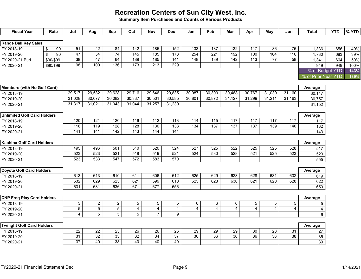Summary Item Purchases and Counts of Various Products

| <b>Fiscal Year</b>                              | Rate                             | Jul                              | Aug                              | Sep                              | Oct                              | Nov                              | <b>Dec</b>            | Jan                   | Feb                   | Mar                   | Apr                       | May                   | Jun              | <b>Total</b>            | <b>YTD</b> | % YTD |
|-------------------------------------------------|----------------------------------|----------------------------------|----------------------------------|----------------------------------|----------------------------------|----------------------------------|-----------------------|-----------------------|-----------------------|-----------------------|---------------------------|-----------------------|------------------|-------------------------|------------|-------|
| Range Ball Key Sales                            |                                  |                                  |                                  |                                  |                                  |                                  |                       |                       |                       |                       |                           |                       |                  |                         |            |       |
| FY 2018-19                                      | $\boldsymbol{\mathsf{\$}}$<br>90 | $\overline{51}$                  | 42                               | 84                               | $\overline{142}$                 | 185                              | 152                   | $\overline{133}$      | $\overline{137}$      | $\overline{132}$      | 117                       | 86                    | 75               | 1,336                   | 656        | 49%   |
| FY 2019-20                                      | $\sqrt[6]{\frac{1}{2}}$<br>90    | $\overline{47}$                  | $\overline{54}$                  | $\overline{74}$                  | $\overline{145}$                 | $\overline{185}$                 | $\overline{178}$      | 254                   | $\overline{221}$      | $\overline{192}$      | 100                       | 164                   | $\overline{116}$ | 1,730                   | 683        | 39%   |
| FY 2020-21 Bud                                  | \$90/\$99                        | $\overline{38}$                  | $\overline{47}$                  | 64                               | 189                              | $\overline{185}$                 | 141                   | $\overline{148}$      | $\overline{139}$      | $\overline{142}$      | $\overline{113}$          | $\overline{77}$       | $\overline{58}$  | 1,341                   | 664        | 50%   |
| FY 2020-21                                      | \$90/\$99                        | $\overline{98}$                  | $\overline{100}$                 | $\overline{136}$                 | $\overline{173}$                 | $\overline{213}$                 | $\overline{229}$      |                       |                       |                       |                           |                       |                  | 949                     | 949        | 100%  |
|                                                 |                                  |                                  |                                  |                                  |                                  |                                  |                       |                       |                       |                       |                           |                       |                  | % of Budget YTD         |            | 143%  |
|                                                 |                                  |                                  |                                  |                                  |                                  |                                  |                       |                       |                       |                       |                           |                       |                  | % of Prior Year YTD     |            | 139%  |
|                                                 |                                  |                                  |                                  |                                  |                                  |                                  |                       |                       |                       |                       |                           |                       |                  |                         |            |       |
| Members (with No Golf Card)                     |                                  |                                  |                                  |                                  |                                  |                                  |                       |                       |                       |                       |                           |                       |                  | Average                 |            |       |
| FY 2018-19                                      |                                  | 29,517                           | 29,582                           | 29,628                           | 29,716                           | 29,646                           | 29,835                | 30,087                | 30,300                | 30,488                | 30,767                    | 31,039                | 31,160           | 30,147                  |            |       |
| FY 2019-20                                      |                                  | 31,028                           | 30,077                           | 30,082                           | 30,337                           | 30,501                           | 30,585                | 30,801                | 30,872                | 31,127                | 31,299                    | 31,211                | 31,163           | 30,757                  |            |       |
| FY 2020-21                                      |                                  | 31,317                           | 31,021                           | 31,043                           | 31,044                           | 31,257                           | 31,230                |                       |                       |                       |                           |                       |                  | 31,152                  |            |       |
|                                                 |                                  |                                  |                                  |                                  |                                  |                                  |                       |                       |                       |                       |                           |                       |                  |                         |            |       |
| <b>Unlimited Golf Card Holders</b>              |                                  |                                  |                                  |                                  |                                  |                                  |                       |                       |                       |                       |                           |                       |                  | Average                 |            |       |
| FY 2018-19                                      |                                  | 120                              | 121                              | 120                              | 116                              | 112                              | 113                   | $\frac{114}{114}$     | $\frac{115}{115}$     | 117                   | 117                       | 117                   | 117              | 117                     |            |       |
| FY 2019-20                                      |                                  | 118                              | 119                              | 128                              | 128                              | 130                              | $\overline{133}$      | 134                   | 137                   | 137                   | $\overline{137}$          | 139                   | 140              | 132                     |            |       |
| FY 2020-21                                      |                                  | 141                              | $\overline{141}$                 | 142                              | 143                              | 144                              | 144                   |                       |                       |                       |                           |                       |                  | 143                     |            |       |
|                                                 |                                  |                                  |                                  |                                  |                                  |                                  |                       |                       |                       |                       |                           |                       |                  |                         |            |       |
| Kachina Golf Card Holders                       |                                  |                                  |                                  |                                  |                                  |                                  |                       |                       |                       |                       |                           |                       |                  | Average                 |            |       |
| FY 2018-19                                      |                                  | 495                              | 496                              | 501                              | 510                              | 520                              | 524                   | $\overline{527}$      | 525                   | 522                   | 525                       | 525                   | 528              | 517                     |            |       |
| FY 2019-20                                      |                                  | 523                              | 523                              | 521                              | 518                              | 519                              | 521                   | 524                   | 530                   | 528                   | 521                       | 525                   | 523              | 523                     |            |       |
| FY 2020-21                                      |                                  | 523                              | 533                              | 547                              | $\overline{572}$                 | 583                              | 570                   |                       |                       |                       |                           |                       |                  | 555                     |            |       |
|                                                 |                                  |                                  |                                  |                                  |                                  |                                  |                       |                       |                       |                       |                           |                       |                  |                         |            |       |
| <b>Coyote Golf Card Holders</b>                 |                                  |                                  |                                  |                                  |                                  |                                  |                       |                       |                       |                       |                           |                       |                  | Average                 |            |       |
| FY 2018-19                                      |                                  | 613                              | 613                              | 610                              | 611                              | 606                              | 612                   | 625                   | 629                   | 623                   | 628                       | 631                   | 632              | 619                     |            |       |
| FY 2019-20                                      |                                  | 632                              | 629                              | 625                              | 621                              | 599                              | 610                   | 625                   | 628                   | 630                   | 621                       | 620                   | 628              | 622                     |            |       |
| FY 2020-21                                      |                                  | 631                              | 631                              | 636                              | 671                              | 677                              | 656                   |                       |                       |                       |                           |                       |                  | 650                     |            |       |
|                                                 |                                  |                                  |                                  |                                  |                                  |                                  |                       |                       |                       |                       |                           |                       |                  |                         |            |       |
| <b>CNP Freq Play Card Holders</b>               |                                  |                                  |                                  |                                  |                                  |                                  |                       |                       |                       |                       |                           |                       |                  | Average                 |            |       |
| FY 2018-19                                      |                                  | 3                                | $\overline{a}$                   | $\overline{2}$                   | $\overline{5}$                   | $\overline{5}$                   | $\overline{5}$        | 6                     | 6                     | 6                     | $\overline{5}$            | $\sqrt{5}$            | 5                | $\mathbf 5$             |            |       |
| FY 2019-20                                      |                                  | $\overline{5}$<br>$\overline{4}$ | $\overline{5}$<br>$\overline{5}$ | $\overline{5}$<br>$\overline{5}$ | $\overline{4}$<br>$\overline{5}$ | $\overline{4}$<br>$\overline{7}$ | $\overline{4}$        | $\overline{4}$        | 4                     | $\overline{4}$        | $\overline{4}$            | $\overline{4}$        | 4                | $\overline{\mathbf{r}}$ |            |       |
| FY 2020-21                                      |                                  |                                  |                                  |                                  |                                  |                                  | $\overline{9}$        |                       |                       |                       |                           |                       |                  | $6\phantom{a}$          |            |       |
|                                                 |                                  |                                  |                                  |                                  |                                  |                                  |                       |                       |                       |                       |                           |                       |                  |                         |            |       |
| <b>Twilight Golf Card Holders</b><br>FY 2018-19 |                                  |                                  |                                  |                                  |                                  | 26                               |                       |                       |                       |                       |                           |                       | 31               | Average                 |            |       |
| FY 2019-20                                      |                                  | 22<br>$\overline{31}$            | 22<br>$\overline{32}$            | 23<br>33                         | 26<br>$\overline{32}$            | $\overline{34}$                  | 26<br>$\overline{37}$ | 29<br>$\overline{36}$ | 29<br>$\overline{36}$ | 29<br>$\overline{36}$ | $30\,$<br>$\overline{36}$ | 28<br>$\overline{36}$ | $\overline{38}$  | 27<br>35                |            |       |
| FY 2020-21                                      |                                  | $\overline{37}$                  | 40                               | $\overline{38}$                  | 40                               | 40                               | 40                    |                       |                       |                       |                           |                       |                  | 39                      |            |       |
|                                                 |                                  |                                  |                                  |                                  |                                  |                                  |                       |                       |                       |                       |                           |                       |                  |                         |            |       |